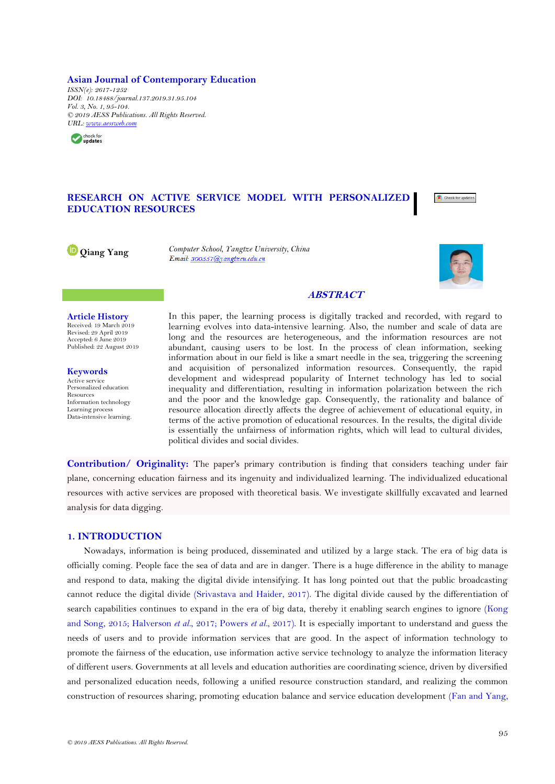**Asian Journal of Contemporary Education** *ISSN(e): 2617-1252 DOI: 10.18488/journal.137.2019.31.95.104 Vol. 3, No. 1, 95-104. © 2019 AESS Publications. All Rights Reserved. [URL:](http://www.aessweb.com/journals/March2019/5052/4639) [www.aessweb.com](http://www.aessweb.com/)*



# **RESEARCH ON ACTIVE SERVICE MODEL WITH PERSONALIZED EDUCATION RESOURCES**



**[Q](https://orcid.org/0000-0002-2284-9334)iang Yang** *Computer School, Yangtze University, China*



# **ABSTRACT**

**Article History** Received: 19 March 2019 Revised: 29 April 2019 Accepted: 6 June 2019 Published: 22 August 2019

**Keywords** Active service Personalized education Resources Information technology Learning process Data-intensive learning. In this paper, the learning process is digitally tracked and recorded, with regard to learning evolves into data-intensive learning. Also, the number and scale of data are long and the resources are heterogeneous, and the information resources are not abundant, causing users to be lost. In the process of clean information, seeking information about in our field is like a smart needle in the sea, triggering the screening and acquisition of personalized information resources. Consequently, the rapid development and widespread popularity of Internet technology has led to social inequality and differentiation, resulting in information polarization between the rich and the poor and the knowledge gap. Consequently, the rationality and balance of resource allocation directly affects the degree of achievement of educational equity, in terms of the active promotion of educational resources. In the results, the digital divide is essentially the unfairness of information rights, which will lead to cultural divides, political divides and social divides.

**Contribution/ Originality:** The paper's primary contribution is finding that considers teaching under fair plane, concerning education fairness and its ingenuity and individualized learning. The individualized educational resources with active services are proposed with theoretical basis. We investigate skillfully excavated and learned analysis for data digging.

## **1. INTRODUCTION**

Nowadays, information is being produced, disseminated and utilized by a large stack. The era of big data is officially coming. People face the sea of data and are in danger. There is a huge difference in the ability to manage and respond to data, making the digital divide intensifying. It has long pointed out that the public broadcasting cannot reduce the digital divide [\(Srivastava and Haider, 2017\)](#page-9-0). The digital divide caused by the differentiation of search capabilities continues to expand in the era of big data, thereby it enabling search engines to ignore [\(Kong](#page-8-0)  [and Song, 2015;](#page-8-0) [Halverson](#page-8-1) *et al.*, 2017; [Powers](#page-8-2) *et al.*, 2017). It is especially important to understand and guess the needs of users and to provide information services that are good. In the aspect of information technology to promote the fairness of the education, use information active service technology to analyze the information literacy of different users. Governments at all levels and education authorities are coordinating science, driven by diversified and personalized education needs, following a unified resource construction standard, and realizing the common construction of resources sharing, promoting education balance and service education development [\(Fan and Yang,](#page-8-3)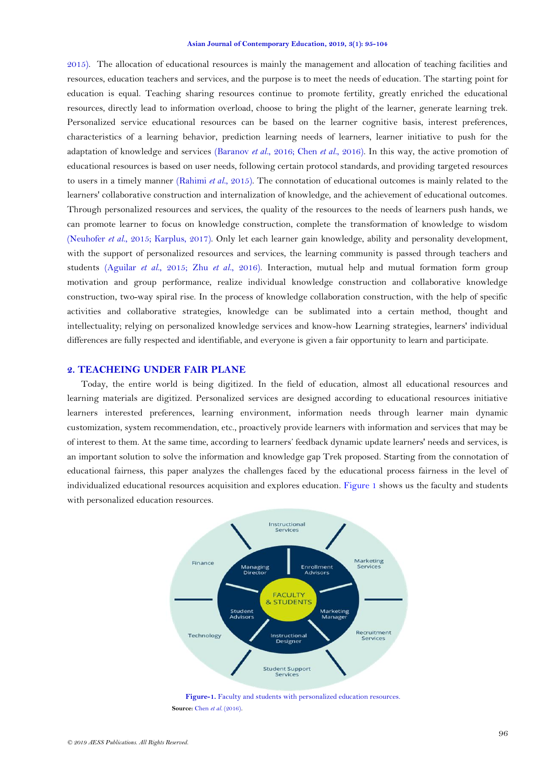[2015\)](#page-8-3). The allocation of educational resources is mainly the management and allocation of teaching facilities and resources, education teachers and services, and the purpose is to meet the needs of education. The starting point for education is equal. Teaching sharing resources continue to promote fertility, greatly enriched the educational resources, directly lead to information overload, choose to bring the plight of the learner, generate learning trek. Personalized service educational resources can be based on the learner cognitive basis, interest preferences, characteristics of a learning behavior, prediction learning needs of learners, learner initiative to push for the adaptation of knowledge and services [\(Baranov](#page-8-4) *et al.*, 2016; Chen *et al.*[, 2016\)](#page-8-5). In this way, the active promotion of educational resources is based on user needs, following certain protocol standards, and providing targeted resources to users in a timely manner [\(Rahimi](#page-9-1) *et al.*, 2015). The connotation of educational outcomes is mainly related to the learners' collaborative construction and internalization of knowledge, and the achievement of educational outcomes. Through personalized resources and services, the quality of the resources to the needs of learners push hands, we can promote learner to focus on knowledge construction, complete the transformation of knowledge to wisdom [\(Neuhofer](#page-8-6) *et al.*, 2015; [Karplus, 2017\)](#page-8-7). Only let each learner gain knowledge, ability and personality development, with the support of personalized resources and services, the learning community is passed through teachers and students [\(Aguilar](#page-8-8) *et al.*, 2015; Zhu *et al.*[, 2016\)](#page-9-2). Interaction, mutual help and mutual formation form group motivation and group performance, realize individual knowledge construction and collaborative knowledge construction, two-way spiral rise. In the process of knowledge collaboration construction, with the help of specific activities and collaborative strategies, knowledge can be sublimated into a certain method, thought and intellectuality; relying on personalized knowledge services and know-how Learning strategies, learners' individual differences are fully respected and identifiable, and everyone is given a fair opportunity to learn and participate.

## **2. TEACHEING UNDER FAIR PLANE**

Today, the entire world is being digitized. In the field of education, almost all educational resources and learning materials are digitized. Personalized services are designed according to educational resources initiative learners interested preferences, learning environment, information needs through learner main dynamic customization, system recommendation, etc., proactively provide learners with information and services that may be of interest to them. At the same time, according to learners' feedback dynamic update learners' needs and services, is an important solution to solve the information and knowledge gap Trek proposed. Starting from the connotation of educational fairness, this paper analyzes the challenges faced by the educational process fairness in the level of individualized educational resources acquisition and explores education. [Figure 1](#page-1-0) shows us the faculty and students with personalized education resources.



<span id="page-1-0"></span>Figure-1. Faculty and students with personalized education resources. **Source:** Chen *et al.* [\(2016\)](#page-8-5).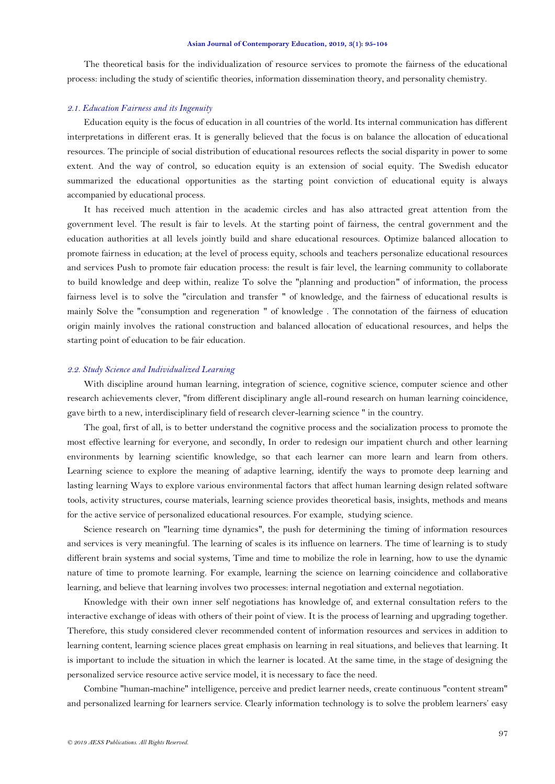The theoretical basis for the individualization of resource services to promote the fairness of the educational process: including the study of scientific theories, information dissemination theory, and personality chemistry.

# *2.1. Education Fairness and its Ingenuity*

Education equity is the focus of education in all countries of the world. Its internal communication has different interpretations in different eras. It is generally believed that the focus is on balance the allocation of educational resources. The principle of social distribution of educational resources reflects the social disparity in power to some extent. And the way of control, so education equity is an extension of social equity. The Swedish educator summarized the educational opportunities as the starting point conviction of educational equity is always accompanied by educational process.

It has received much attention in the academic circles and has also attracted great attention from the government level. The result is fair to levels. At the starting point of fairness, the central government and the education authorities at all levels jointly build and share educational resources. Optimize balanced allocation to promote fairness in education; at the level of process equity, schools and teachers personalize educational resources and services Push to promote fair education process: the result is fair level, the learning community to collaborate to build knowledge and deep within, realize To solve the "planning and production" of information, the process fairness level is to solve the "circulation and transfer " of knowledge, and the fairness of educational results is mainly Solve the "consumption and regeneration " of knowledge . The connotation of the fairness of education origin mainly involves the rational construction and balanced allocation of educational resources, and helps the starting point of education to be fair education.

### *2.2. Study Science and Individualized Learning*

With discipline around human learning, integration of science, cognitive science, computer science and other research achievements clever, "from different disciplinary angle all-round research on human learning coincidence, gave birth to a new, interdisciplinary field of research clever-learning science " in the country.

The goal, first of all, is to better understand the cognitive process and the socialization process to promote the most effective learning for everyone, and secondly, In order to redesign our impatient church and other learning environments by learning scientific knowledge, so that each learner can more learn and learn from others. Learning science to explore the meaning of adaptive learning, identify the ways to promote deep learning and lasting learning Ways to explore various environmental factors that affect human learning design related software tools, activity structures, course materials, learning science provides theoretical basis, insights, methods and means for the active service of personalized educational resources. For example, studying science.

Science research on "learning time dynamics", the push for determining the timing of information resources and services is very meaningful. The learning of scales is its influence on learners. The time of learning is to study different brain systems and social systems, Time and time to mobilize the role in learning, how to use the dynamic nature of time to promote learning. For example, learning the science on learning coincidence and collaborative learning, and believe that learning involves two processes: internal negotiation and external negotiation.

Knowledge with their own inner self negotiations has knowledge of, and external consultation refers to the interactive exchange of ideas with others of their point of view. It is the process of learning and upgrading together. Therefore, this study considered clever recommended content of information resources and services in addition to learning content, learning science places great emphasis on learning in real situations, and believes that learning. It is important to include the situation in which the learner is located. At the same time, in the stage of designing the personalized service resource active service model, it is necessary to face the need.

Combine "human-machine" intelligence, perceive and predict learner needs, create continuous "content stream" and personalized learning for learners service. Clearly information technology is to solve the problem learners' easy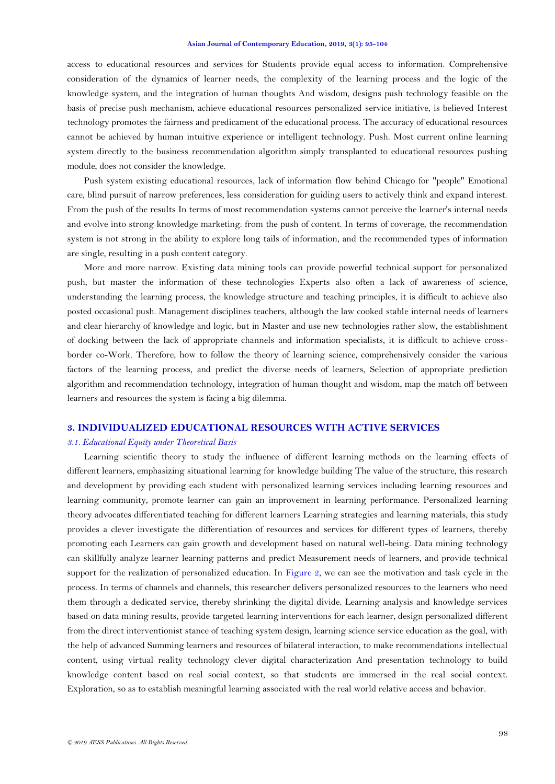access to educational resources and services for Students provide equal access to information. Comprehensive consideration of the dynamics of learner needs, the complexity of the learning process and the logic of the knowledge system, and the integration of human thoughts And wisdom, designs push technology feasible on the basis of precise push mechanism, achieve educational resources personalized service initiative, is believed Interest technology promotes the fairness and predicament of the educational process. The accuracy of educational resources cannot be achieved by human intuitive experience or intelligent technology. Push. Most current online learning system directly to the business recommendation algorithm simply transplanted to educational resources pushing module, does not consider the knowledge.

Push system existing educational resources, lack of information flow behind Chicago for "people" Emotional care, blind pursuit of narrow preferences, less consideration for guiding users to actively think and expand interest. From the push of the results In terms of most recommendation systems cannot perceive the learner's internal needs and evolve into strong knowledge marketing: from the push of content. In terms of coverage, the recommendation system is not strong in the ability to explore long tails of information, and the recommended types of information are single, resulting in a push content category.

More and more narrow. Existing data mining tools can provide powerful technical support for personalized push, but master the information of these technologies Experts also often a lack of awareness of science, understanding the learning process, the knowledge structure and teaching principles, it is difficult to achieve also posted occasional push. Management disciplines teachers, although the law cooked stable internal needs of learners and clear hierarchy of knowledge and logic, but in Master and use new technologies rather slow, the establishment of docking between the lack of appropriate channels and information specialists, it is difficult to achieve crossborder co-Work. Therefore, how to follow the theory of learning science, comprehensively consider the various factors of the learning process, and predict the diverse needs of learners, Selection of appropriate prediction algorithm and recommendation technology, integration of human thought and wisdom, map the match off between learners and resources the system is facing a big dilemma.

# **3. INDIVIDUALIZED EDUCATIONAL RESOURCES WITH ACTIVE SERVICES**

### *3.1. Educational Equity under Theoretical Basis*

Learning scientific theory to study the influence of different learning methods on the learning effects of different learners, emphasizing situational learning for knowledge building The value of the structure, this research and development by providing each student with personalized learning services including learning resources and learning community, promote learner can gain an improvement in learning performance. Personalized learning theory advocates differentiated teaching for different learners Learning strategies and learning materials, this study provides a clever investigate the differentiation of resources and services for different types of learners, thereby promoting each Learners can gain growth and development based on natural well-being. Data mining technology can skillfully analyze learner learning patterns and predict Measurement needs of learners, and provide technical support for the realization of personalized education. In [Figure 2,](#page-4-0) we can see the motivation and task cycle in the process. In terms of channels and channels, this researcher delivers personalized resources to the learners who need them through a dedicated service, thereby shrinking the digital divide. Learning analysis and knowledge services based on data mining results, provide targeted learning interventions for each learner, design personalized different from the direct interventionist stance of teaching system design, learning science service education as the goal, with the help of advanced Summing learners and resources of bilateral interaction, to make recommendations intellectual content, using virtual reality technology clever digital characterization And presentation technology to build knowledge content based on real social context, so that students are immersed in the real social context. Exploration, so as to establish meaningful learning associated with the real world relative access and behavior.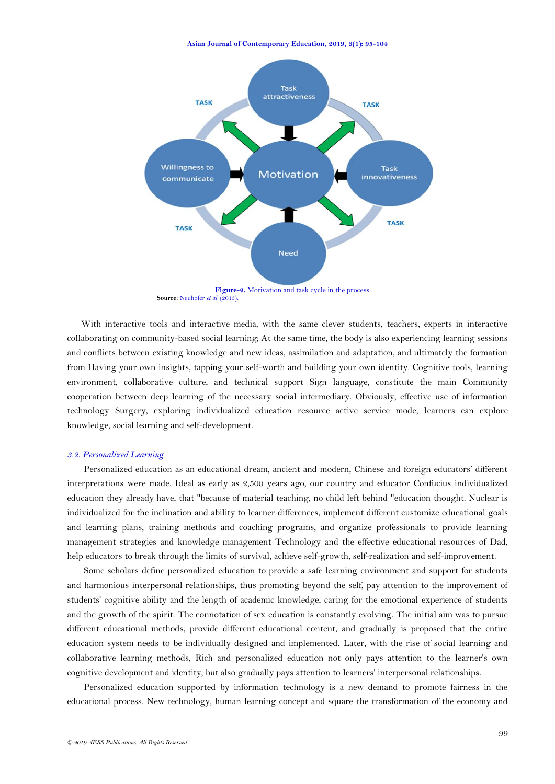

Figure-2. Motivation and task cycle in the process. Source: [Neuhofer](#page-8-6) *et al.* (2015).

<span id="page-4-0"></span>With interactive tools and interactive media, with the same clever students, teachers, experts in interactive collaborating on community-based social learning; At the same time, the body is also experiencing learning sessions and conflicts between existing knowledge and new ideas, assimilation and adaptation, and ultimately the formation from Having your own insights, tapping your self-worth and building your own identity. Cognitive tools, learning environment, collaborative culture, and technical support Sign language, constitute the main Community cooperation between deep learning of the necessary social intermediary. Obviously, effective use of information technology Surgery, exploring individualized education resource active service mode, learners can explore knowledge, social learning and self-development.

# *3.2. Personalized Learning*

Personalized education as an educational dream, ancient and modern, Chinese and foreign educators' different interpretations were made. Ideal as early as 2,500 years ago, our country and educator Confucius individualized education they already have, that "because of material teaching, no child left behind "education thought. Nuclear is individualized for the inclination and ability to learner differences, implement different customize educational goals and learning plans, training methods and coaching programs, and organize professionals to provide learning management strategies and knowledge management Technology and the effective educational resources of Dad, help educators to break through the limits of survival, achieve self-growth, self-realization and self-improvement.

Some scholars define personalized education to provide a safe learning environment and support for students and harmonious interpersonal relationships, thus promoting beyond the self, pay attention to the improvement of students' cognitive ability and the length of academic knowledge, caring for the emotional experience of students and the growth of the spirit. The connotation of sex education is constantly evolving. The initial aim was to pursue different educational methods, provide different educational content, and gradually is proposed that the entire education system needs to be individually designed and implemented. Later, with the rise of social learning and collaborative learning methods, Rich and personalized education not only pays attention to the learner's own cognitive development and identity, but also gradually pays attention to learners' interpersonal relationships.

Personalized education supported by information technology is a new demand to promote fairness in the educational process. New technology, human learning concept and square the transformation of the economy and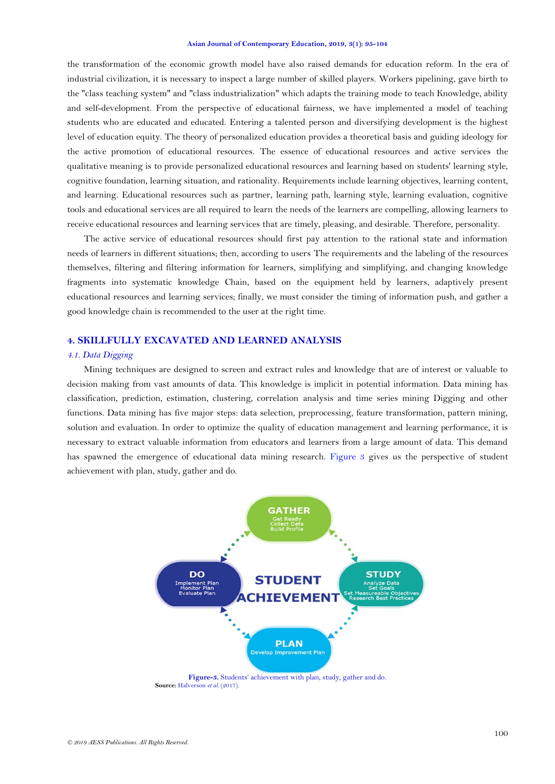the transformation of the economic growth model have also raised demands for education reform. In the era of industrial civilization, it is necessary to inspect a large number of skilled players. Workers pipelining, gave birth to the "class teaching system" and "class industrialization" which adapts the training mode to teach Knowledge, ability and self-development. From the perspective of educational fairness, we have implemented a model of teaching students who are educated and educated. Entering a talented person and diversifying development is the highest level of education equity. The theory of personalized education provides a theoretical basis and guiding ideology for the active promotion of educational resources. The essence of educational resources and active services the qualitative meaning is to provide personalized educational resources and learning based on students' learning style, cognitive foundation, learning situation, and rationality. Requirements include learning objectives, learning content, and learning. Educational resources such as partner, learning path, learning style, learning evaluation, cognitive tools and educational services are all required to learn the needs of the learners are compelling, allowing learners to receive educational resources and learning services that are timely, pleasing, and desirable. Therefore, personality.

The active service of educational resources should first pay attention to the rational state and information needs of learners in different situations; then, according to users The requirements and the labeling of the resources themselves, filtering and filtering information for learners, simplifying and simplifying, and changing knowledge fragments into systematic knowledge Chain, based on the equipment held by learners, adaptively present educational resources and learning services; finally, we must consider the timing of information push, and gather a good knowledge chain is recommended to the user at the right time.

# **4. SKILLFULLY EXCAVATED AND LEARNED ANALYSIS**

# *4.1. Data Digging*

Mining techniques are designed to screen and extract rules and knowledge that are of interest or valuable to decision making from vast amounts of data. This knowledge is implicit in potential information. Data mining has classification, prediction, estimation, clustering, correlation analysis and time series mining Digging and other functions. Data mining has five major steps: data selection, preprocessing, feature transformation, pattern mining, solution and evaluation. In order to optimize the quality of education management and learning performance, it is necessary to extract valuable information from educators and learners from a large amount of data. This demand has spawned the emergence of educational data mining research. [Figure 3](#page-5-0) gives us the perspective of student achievement with plan, study, gather and do.



<span id="page-5-0"></span>**Figure-3.** Students' achievement with plan, study, gather and do. Source: [Halverson](#page-8-1) et al. (2017).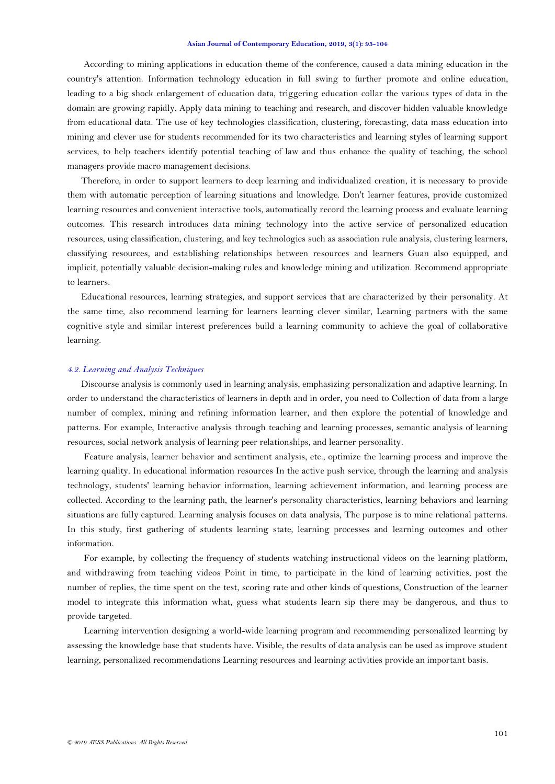According to mining applications in education theme of the conference, caused a data mining education in the country's attention. Information technology education in full swing to further promote and online education, leading to a big shock enlargement of education data, triggering education collar the various types of data in the domain are growing rapidly. Apply data mining to teaching and research, and discover hidden valuable knowledge from educational data. The use of key technologies classification, clustering, forecasting, data mass education into mining and clever use for students recommended for its two characteristics and learning styles of learning support services, to help teachers identify potential teaching of law and thus enhance the quality of teaching, the school managers provide macro management decisions.

Therefore, in order to support learners to deep learning and individualized creation, it is necessary to provide them with automatic perception of learning situations and knowledge. Don't learner features, provide customized learning resources and convenient interactive tools, automatically record the learning process and evaluate learning outcomes. This research introduces data mining technology into the active service of personalized education resources, using classification, clustering, and key technologies such as association rule analysis, clustering learners, classifying resources, and establishing relationships between resources and learners Guan also equipped, and implicit, potentially valuable decision-making rules and knowledge mining and utilization. Recommend appropriate to learners.

Educational resources, learning strategies, and support services that are characterized by their personality. At the same time, also recommend learning for learners learning clever similar, Learning partners with the same cognitive style and similar interest preferences build a learning community to achieve the goal of collaborative learning.

### *4.2. Learning and Analysis Techniques*

Discourse analysis is commonly used in learning analysis, emphasizing personalization and adaptive learning. In order to understand the characteristics of learners in depth and in order, you need to Collection of data from a large number of complex, mining and refining information learner, and then explore the potential of knowledge and patterns. For example, Interactive analysis through teaching and learning processes, semantic analysis of learning resources, social network analysis of learning peer relationships, and learner personality.

Feature analysis, learner behavior and sentiment analysis, etc., optimize the learning process and improve the learning quality. In educational information resources In the active push service, through the learning and analysis technology, students' learning behavior information, learning achievement information, and learning process are collected. According to the learning path, the learner's personality characteristics, learning behaviors and learning situations are fully captured. Learning analysis focuses on data analysis, The purpose is to mine relational patterns. In this study, first gathering of students learning state, learning processes and learning outcomes and other information.

For example, by collecting the frequency of students watching instructional videos on the learning platform, and withdrawing from teaching videos Point in time, to participate in the kind of learning activities, post the number of replies, the time spent on the test, scoring rate and other kinds of questions, Construction of the learner model to integrate this information what, guess what students learn sip there may be dangerous, and thus to provide targeted.

Learning intervention designing a world-wide learning program and recommending personalized learning by assessing the knowledge base that students have. Visible, the results of data analysis can be used as improve student learning, personalized recommendations Learning resources and learning activities provide an important basis.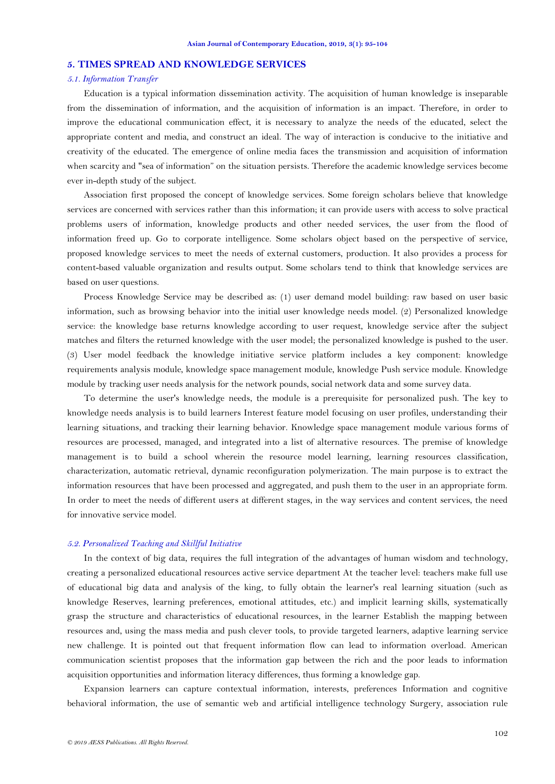### **5. TIMES SPREAD AND KNOWLEDGE SERVICES**

# *5.1. Information Transfer*

Education is a typical information dissemination activity. The acquisition of human knowledge is inseparable from the dissemination of information, and the acquisition of information is an impact. Therefore, in order to improve the educational communication effect, it is necessary to analyze the needs of the educated, select the appropriate content and media, and construct an ideal. The way of interaction is conducive to the initiative and creativity of the educated. The emergence of online media faces the transmission and acquisition of information when scarcity and "sea of information" on the situation persists. Therefore the academic knowledge services become ever in-depth study of the subject.

Association first proposed the concept of knowledge services. Some foreign scholars believe that knowledge services are concerned with services rather than this information; it can provide users with access to solve practical problems users of information, knowledge products and other needed services, the user from the flood of information freed up. Go to corporate intelligence. Some scholars object based on the perspective of service, proposed knowledge services to meet the needs of external customers, production. It also provides a process for content-based valuable organization and results output. Some scholars tend to think that knowledge services are based on user questions.

Process Knowledge Service may be described as: (1) user demand model building: raw based on user basic information, such as browsing behavior into the initial user knowledge needs model. (2) Personalized knowledge service: the knowledge base returns knowledge according to user request, knowledge service after the subject matches and filters the returned knowledge with the user model; the personalized knowledge is pushed to the user. (3) User model feedback the knowledge initiative service platform includes a key component: knowledge requirements analysis module, knowledge space management module, knowledge Push service module. Knowledge module by tracking user needs analysis for the network pounds, social network data and some survey data.

To determine the user's knowledge needs, the module is a prerequisite for personalized push. The key to knowledge needs analysis is to build learners Interest feature model focusing on user profiles, understanding their learning situations, and tracking their learning behavior. Knowledge space management module various forms of resources are processed, managed, and integrated into a list of alternative resources. The premise of knowledge management is to build a school wherein the resource model learning, learning resources classification, characterization, automatic retrieval, dynamic reconfiguration polymerization. The main purpose is to extract the information resources that have been processed and aggregated, and push them to the user in an appropriate form. In order to meet the needs of different users at different stages, in the way services and content services, the need for innovative service model.

# *5.2. Personalized Teaching and Skillful Initiative*

In the context of big data, requires the full integration of the advantages of human wisdom and technology, creating a personalized educational resources active service department At the teacher level: teachers make full use of educational big data and analysis of the king, to fully obtain the learner's real learning situation (such as knowledge Reserves, learning preferences, emotional attitudes, etc.) and implicit learning skills, systematically grasp the structure and characteristics of educational resources, in the learner Establish the mapping between resources and, using the mass media and push clever tools, to provide targeted learners, adaptive learning service new challenge. It is pointed out that frequent information flow can lead to information overload. American communication scientist proposes that the information gap between the rich and the poor leads to information acquisition opportunities and information literacy differences, thus forming a knowledge gap.

Expansion learners can capture contextual information, interests, preferences Information and cognitive behavioral information, the use of semantic web and artificial intelligence technology Surgery, association rule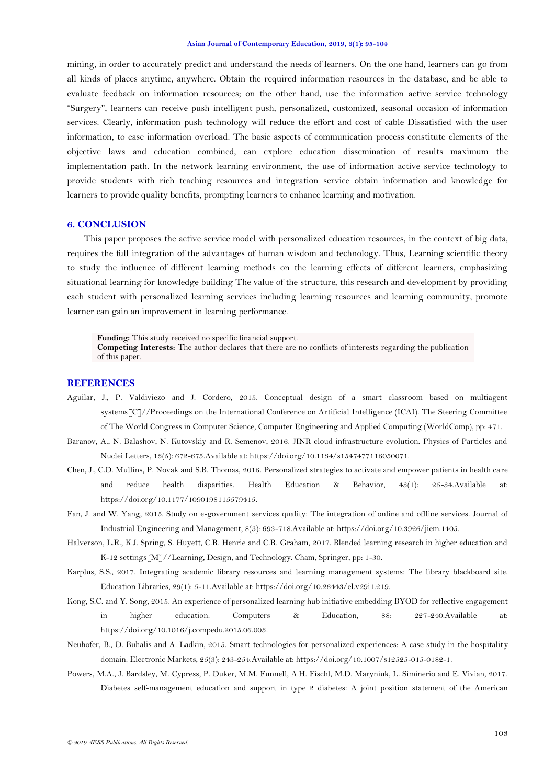mining, in order to accurately predict and understand the needs of learners. On the one hand, learners can go from all kinds of places anytime, anywhere. Obtain the required information resources in the database, and be able to evaluate feedback on information resources; on the other hand, use the information active service technology "Surgery", learners can receive push intelligent push, personalized, customized, seasonal occasion of information services. Clearly, information push technology will reduce the effort and cost of cable Dissatisfied with the user information, to ease information overload. The basic aspects of communication process constitute elements of the objective laws and education combined, can explore education dissemination of results maximum the implementation path. In the network learning environment, the use of information active service technology to provide students with rich teaching resources and integration service obtain information and knowledge for learners to provide quality benefits, prompting learners to enhance learning and motivation.

## **6. CONCLUSION**

This paper proposes the active service model with personalized education resources, in the context of big data, requires the full integration of the advantages of human wisdom and technology. Thus, Learning scientific theory to study the influence of different learning methods on the learning effects of different learners, emphasizing situational learning for knowledge building The value of the structure, this research and development by providing each student with personalized learning services including learning resources and learning community, promote learner can gain an improvement in learning performance.

**Funding:** This study received no specific financial support. **Competing Interests:** The author declares that there are no conflicts of interests regarding the publication of this paper.

# **REFERENCES**

- <span id="page-8-8"></span>Aguilar, J., P. Valdiviezo and J. Cordero, 2015. Conceptual design of a smart classroom based on multiagent systems[C]//Proceedings on the International Conference on Artificial Intelligence (ICAI). The Steering Committee of The World Congress in Computer Science, Computer Engineering and Applied Computing (WorldComp), pp: 471.
- <span id="page-8-4"></span>Baranov, A., N. Balashov, N. Kutovskiy and R. Semenov, 2016. JINR cloud infrastructure evolution. Physics of Particles and Nuclei Letters, 13(5): 672-675.Available at: https://doi.org/10.1134/s1547477116050071.
- <span id="page-8-5"></span>Chen, J., C.D. Mullins, P. Novak and S.B. Thomas, 2016. Personalized strategies to activate and empower patients in health care and reduce health disparities. Health Education & Behavior, 43(1): 25-34.Available at: https://doi.org/10.1177/1090198115579415.
- <span id="page-8-3"></span>Fan, J. and W. Yang, 2015. Study on e-government services quality: The integration of online and offline services. Journal of Industrial Engineering and Management, 8(3): 693-718.Available at: https://doi.org/10.3926/jiem.1405.
- <span id="page-8-1"></span>Halverson, L.R., K.J. Spring, S. Huyett, C.R. Henrie and C.R. Graham, 2017. Blended learning research in higher education and K-12 settings[M]//Learning, Design, and Technology. Cham, Springer, pp: 1-30.
- <span id="page-8-7"></span>Karplus, S.S., 2017. Integrating academic library resources and learning management systems: The library blackboard site. Education Libraries, 29(1): 5-11.Available at: https://doi.org/10.26443/el.v29i1.219.
- <span id="page-8-0"></span>Kong, S.C. and Y. Song, 2015. An experience of personalized learning hub initiative embedding BYOD for reflective engagement in higher education. Computers & Education, 88: 227-240.Available at: https://doi.org/10.1016/j.compedu.2015.06.003.
- <span id="page-8-6"></span>Neuhofer, B., D. Buhalis and A. Ladkin, 2015. Smart technologies for personalized experiences: A case study in the hospitality domain. Electronic Markets, 25(3): 243-254.Available at: https://doi.org/10.1007/s12525-015-0182-1.
- <span id="page-8-2"></span>Powers, M.A., J. Bardsley, M. Cypress, P. Duker, M.M. Funnell, A.H. Fischl, M.D. Maryniuk, L. Siminerio and E. Vivian, 2017. Diabetes self-management education and support in type 2 diabetes: A joint position statement of the American